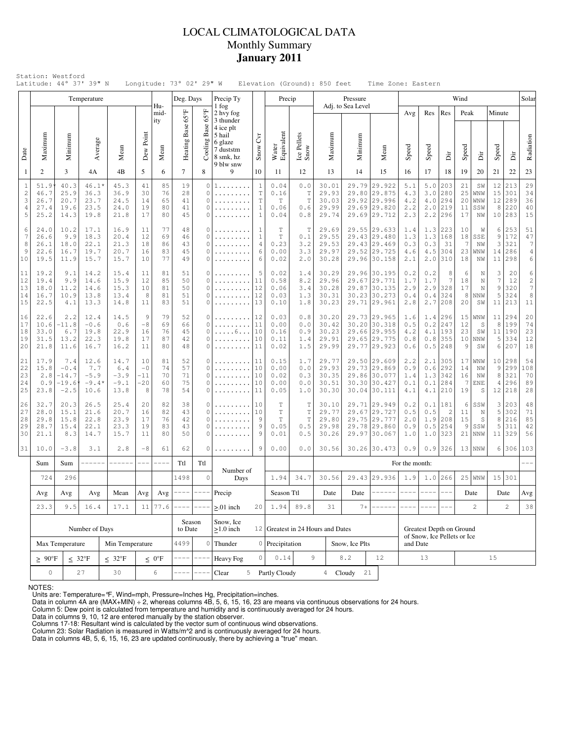## LOCAL CLIMATOLOGICAL DATA Monthly Summary **January 2011**

|                                                            |                                                              |                                                                                                                                            | Temperature                              |                                         |                                   |                            | Deg. Days                                         |                                                   | Precip Ty                                              |                                                                  | Precip                                          |                                           |                                           | Pressure                                                                     |                                                                              |                                 |                                 |                                                   | Wind                                   |                                    |                                       |                                      | Solar                                         |
|------------------------------------------------------------|--------------------------------------------------------------|--------------------------------------------------------------------------------------------------------------------------------------------|------------------------------------------|-----------------------------------------|-----------------------------------|----------------------------|---------------------------------------------------|---------------------------------------------------|--------------------------------------------------------|------------------------------------------------------------------|-------------------------------------------------|-------------------------------------------|-------------------------------------------|------------------------------------------------------------------------------|------------------------------------------------------------------------------|---------------------------------|---------------------------------|---------------------------------------------------|----------------------------------------|------------------------------------|---------------------------------------|--------------------------------------|-----------------------------------------------|
|                                                            |                                                              |                                                                                                                                            |                                          |                                         |                                   | Hu-<br>mid-<br>ity         | Heating Base 65°F                                 | 4°50                                              | 1 fog<br>2 hvy fog<br>3 thunder<br>4 ice plt<br>5 hail |                                                                  |                                                 |                                           |                                           | Adj. to Sea Level                                                            |                                                                              | Avg                             | Res                             | Res                                               | Peak                                   |                                    | Minute                                |                                      |                                               |
| Date                                                       | Maximum                                                      | Minimum                                                                                                                                    | Average                                  | Mean                                    | Dew Point                         | Mean                       |                                                   | Cooling Base                                      | 6 glaze<br>7 duststm<br>8 smk, hz<br>9 blw snw         | $\tilde{c}$<br>Snow                                              | Water<br>Equivalent                             | Ice Pellets<br>Snow                       | Maximum                                   | Minimum                                                                      | Mean                                                                         | Speed                           | Speed                           | ä                                                 | Speed                                  | Δir                                | Speed                                 | jί                                   | Radiation                                     |
| $\mathbf{1}$                                               | 2                                                            | 3                                                                                                                                          | 4A                                       | 4B                                      | 5                                 | 6                          | $\tau$                                            | 8                                                 | 9                                                      | 10                                                               | 11                                              | 12                                        | 13                                        | 14                                                                           | 15                                                                           | 16                              | 17                              | 18                                                | 19                                     | 20                                 | 21                                    | 22                                   | 23                                            |
| $\mathbf{1}$<br>$\overline{c}$<br>3<br>$\overline{4}$<br>5 | 51.9<br>46.7<br>26.7<br>27.4<br>25.2                         | 40.3<br>25.9<br>20.7<br>19.6<br>14.3                                                                                                       | 46.1*<br>36.3<br>23.7<br>23.5<br>19.8    | 45.3<br>36.9<br>24.5<br>24.0<br>21.8    | 41<br>30<br>14<br>19<br>17        | 85<br>76<br>65<br>80<br>80 | 19<br>28<br>41<br>41<br>45                        | $\circ$<br>0<br>$\Omega$<br>$\Omega$<br>$\Omega$  | 1.<br>.                                                | $\mathbf{1}$<br>$\mathbb T$<br>T<br>$\mathbf{1}$<br>$\mathbf{1}$ | 0.04<br>0.16<br>T<br>0.06<br>0.04               | 0.0<br>T<br>$\mathbb T$<br>0.6<br>0.8     | 30.01<br>29.93<br>30.03<br>29.99<br>29.74 | 29.79                                                                        | 29.922<br>29.80 29.875<br>29.92 29.996<br>29.69 29.820<br>29.69 29.712       | 5.1<br>4.3<br>4.2<br>2.2<br>2.3 | 5.0<br>3.0<br>2.2               | 203<br>280<br>$4.0$   294<br>$2.0$ 219<br>296     | 21<br>25<br>20<br>11<br>17             | SW<br>WNW<br>WNW<br>SSW<br>NW      | 12<br>15<br>12<br>8<br>10             | 213<br>301<br>289<br>220<br>283      | 29<br>34<br>36<br>40<br>15                    |
| 6<br>7<br>8<br>9<br>10                                     | 24.0<br>26.6<br>26.1<br>22.6<br>19.5                         | 10.2<br>17.1<br>16.9<br>9.9<br>18.3<br>20.4<br>22.1<br>21.3<br>18.0<br>20.7<br>16.7<br>19.7<br>15.7<br>11.9<br>15.7<br>14.2<br>15.4<br>9.1 |                                          | 11<br>12<br>18<br>16<br>10              | 77<br>69<br>86<br>83<br>77        | 48<br>46<br>43<br>45<br>49 | $\Omega$<br>$\Omega$<br>$\Omega$<br>0<br>$\Omega$ | .<br>.                                            | -1<br>$\mathbf{1}$<br>4<br>6<br>6                      | $\mathbb T$<br>$\mathbb T$<br>0.23<br>0.00<br>0.02               | T<br>0.1<br>3.2<br>3.3<br>2.0                   | 29.69<br>29.55<br>29.53<br>29.97<br>30.28 |                                           | 29.55 29.633<br>29.43 29.480<br>29.43 29.469<br>29.52 29.725<br>29.96 30.158 | 1.4<br>1.3<br>0.3<br>4.6<br>2.1                                              | 1.3<br>1.3<br>0.3<br>4.5<br>2.0 | 223<br>168<br>31<br>304<br>310  | 10<br>18<br>7<br>23<br>18                         | W<br>SSE<br>NW<br>WNW<br>NW            | 6<br>9<br>3<br>14<br>11            | 253<br>172<br>321<br>286<br>298       | 51<br>47<br>7<br>4 <sup>1</sup><br>6 |                                               |
| 11<br>12<br>13<br>14<br>15                                 | 19.2<br>19.4<br>18.0<br>16.7<br>22.5                         | 9.9<br>11.2<br>10.9<br>4.1                                                                                                                 | 14.6<br>14.6<br>13.8<br>13.3             | 15.9<br>15.3<br>13.4<br>14.8            | 11<br>12<br>10<br>8<br>11         | 81<br>85<br>81<br>81<br>83 | 51<br>50<br>50<br>51<br>51                        | $\Omega$<br>$\Omega$<br>$\Omega$<br>$\Omega$<br>0 | .<br>.<br>.                                            | 5<br>11<br>12<br>12<br>13                                        | 0.02<br>0.58<br>0.06<br>0.03<br>0.10            | 1.4<br>8.2<br>3.4<br>1.3<br>1.8           | 30.29<br>29.96<br>30.28<br>30.31<br>30.23 |                                                                              | 29.96 30.195<br>29.67 29.771<br>29.87 30.135<br>30.23 30.273<br>29.71 29.961 | 0.2<br>1.7<br>2.9<br>0.4<br>2.8 | 0.2<br>1.7<br>2.9<br>0.4<br>2.7 | 8<br>7<br>328<br>324<br>208                       | 6<br>18<br>17<br>8<br>20               | N<br>N<br>N<br><b>NNW</b><br>SW    | 3<br>$\boldsymbol{7}$<br>9<br>5<br>11 | 20<br>12<br>320<br>324<br>213        | 6<br>$\sqrt{2}$<br>$7\overline{ }$<br>8<br>11 |
| 16<br>17<br>18<br>19<br>20                                 | 22.6<br>10.6<br>33.0<br>31.5<br>21.8                         | 2.2<br>$-11.8$<br>6.7<br>13.2<br>11.6                                                                                                      | 12.4<br>$-0.6$<br>19.8<br>22.3<br>16.7   | 14.5<br>0.6<br>22.9<br>19.8<br>16.2     | 9<br>$-8$<br>16<br>17<br>11       | 79<br>69<br>76<br>87<br>80 | 52<br>66<br>45<br>42<br>48                        | $\Omega$<br>$\Omega$<br>$\Omega$<br>$\Omega$<br>0 | .<br>. 6<br>.<br>.                                     | 12<br>11<br>10<br>10<br>11                                       | 0.03<br>0.00<br>0.16<br>0.11<br>0.02            | 0.8<br>0.0<br>0.9<br>1.4<br>1.5           | 30.20<br>30.42<br>30.23<br>29.91<br>29.99 |                                                                              | 29.73 29.965<br>30.20 30.318<br>29.66 29.955<br>29.65 29.775<br>29.77 29.923 | 1.6<br>0.5<br>4.2<br>0.8<br>0.6 | 0.2<br>4.1<br>0.8               | $1.4$   296<br>247<br>193<br>355<br>$0.5$ 248     | 15<br>12<br>23<br>10 <sub>1</sub><br>9 | WNW<br>S<br>SW<br><b>NNW</b><br>SW | 11<br>8<br>11<br>5<br>6               | 294<br>199<br>190<br>334<br>207      | 20<br>74<br>23<br>12<br>18                    |
| 21<br>22<br>23<br>24<br>25                                 | 17.9<br>15.8<br>2.8<br>0.9<br>23.8                           | 7.4<br>$-0.4$<br>$-14.7$<br>$-19.6$<br>$-2.5$                                                                                              | 12.6<br>7.7<br>$-5.9$<br>$-9.4'$<br>10.6 | 14.7<br>6.4<br>$-3.9$<br>$-9.1$<br>13.8 | 10<br>$-0$<br>$-11$<br>$-20$<br>8 | 81<br>74<br>70<br>60<br>78 | 52<br>57<br>71<br>75<br>54                        | 0<br>$\Omega$<br>$\Omega$<br>$\Omega$<br>$\cap$   | .<br>.                                                 | 11<br>10<br>10<br>10<br>11                                       | 0.15<br>0.00<br>0.02<br>0.00<br>0.05            | 1.7<br>0.0<br>0.3<br>0.0<br>1.0           | 29.77<br>29.93<br>30.35<br>30.51<br>30.30 |                                                                              | 29.50 29.609<br>29.73 29.869<br>29.86 30.077<br>30.30 30.427<br>30.04 30.111 | 2.2<br>0.9<br>1.4<br>0.1<br>4.1 | 2.1<br>$0.6$<br>1.3             | 305<br>292<br>342<br>$0.1$  284<br>$4.1$   210    | 14<br>16<br>7<br>19                    | $17 $ WNW<br>ΝW<br>NW<br>ENE<br>S  | 10<br>9<br>8<br>$\overline{4}$<br>12  | 298<br>299<br>321<br>296<br>218      | 54<br>108<br>70<br>89<br>28                   |
| 26<br>27<br>28<br>29<br>30                                 | 32.7<br>28.0<br>29.8<br>28.7<br>21.1                         | 20.3<br>15.1<br>15.8<br>15.4<br>8.3                                                                                                        | 26.5<br>21.6<br>22.8<br>22.1<br>14.7     | 25.4<br>20.7<br>23.9<br>23.3<br>15.7    | 20<br>16<br>17<br>19<br>11        | 82<br>82<br>76<br>83<br>80 | 38<br>43<br>42<br>43<br>50                        | $\circ$<br>$\Omega$<br>$\Omega$<br>0<br>$\Omega$  | .                                                      | 10<br>10<br>9<br>9<br>9                                          | Τ<br>$\mathbb T$<br>$\mathbb T$<br>0.05<br>0.01 | Т<br>T<br>T<br>0.5<br>0.5                 | 30.10<br>29.77<br>29.80<br>29.98<br>30.26 |                                                                              | 29.71 29.949<br>29.67 29.727<br>29.75 29.777<br>29.78 29.860<br>29.97 30.067 | 0.2<br>0.5<br>2.0<br>0.9<br>1.0 | 0.5<br>1.9<br>0.5<br>1.0        | $0.1$  181<br>$\overline{c}$<br>208<br>254<br>323 | 6<br>11<br>15<br>9<br>21               | SSW<br>N<br>S<br>SSW<br>NNW        | 3<br>5<br>8<br>5<br>11                | 203<br>302<br>216<br>311<br>329      | 48<br>71<br>85<br>42<br>56                    |
| 31                                                         | 10.0                                                         | $-3.8$                                                                                                                                     | 3.1                                      | 2.8                                     | $-8$                              | 61                         | 62                                                | 0                                                 |                                                        | 9                                                                | 0.00                                            | 0.0                                       | 30.56                                     |                                                                              | 30.26 30.473                                                                 | 0.9                             | 0.9                             | 326                                               |                                        | $13$ NNW                           | 6                                     | 306                                  | 103                                           |
|                                                            | Sum                                                          | Sum                                                                                                                                        | ------                                   | ------                                  | $---$                             | $--- - -$                  | Ttl                                               | Ttl                                               | Number of                                              |                                                                  |                                                 |                                           |                                           |                                                                              |                                                                              | For the month:                  |                                 |                                                   |                                        |                                    |                                       |                                      |                                               |
|                                                            | 724                                                          | 296<br>1498                                                                                                                                |                                          | $\circ$                                 | Days                              |                            | 1.94                                              | 34.7                                              | 30.56                                                  |                                                                  | 29.43 29.936                                    | 1.9                                       |                                           | $1.0$ 266                                                                    |                                                                              | $25$ WNW                        | 15                              | 301                                               |                                        |                                    |                                       |                                      |                                               |
|                                                            | Avg                                                          | $\operatorname{Avg}$<br>Avg<br>Mean<br>$\operatorname{Avg}$                                                                                |                                          |                                         |                                   | Avg                        |                                                   | $--- 1--- $                                       | Precip                                                 |                                                                  | Season Ttl                                      |                                           | Date                                      |                                                                              | Date $\vert$ ------                                                          | $--- - - 1$                     | $--- - -$                       |                                                   |                                        | Date                               |                                       | Date                                 | Avg                                           |
|                                                            | 23.3<br>9.5<br>16.4<br>17.1                                  |                                                                                                                                            |                                          |                                         |                                   | 11<br>77.6                 |                                                   |                                                   | $> 01$ inch                                            | 20                                                               | 1.94                                            | 89.8                                      | 31                                        | $7 +$                                                                        |                                                                              |                                 |                                 |                                                   |                                        | $\overline{c}$                     |                                       | $\mathbf{2}$                         | 38                                            |
|                                                            |                                                              | Number of Days                                                                                                                             |                                          |                                         | Season<br>to Date                 |                            | Snow, Ice<br>$>1.0$ inch                          |                                                   |                                                        |                                                                  | 12 Greatest in 24 Hours and Dates               |                                           |                                           |                                                                              | Greatest Depth on Ground<br>of Snow, Ice Pellets or Ice                      |                                 |                                 |                                                   |                                        |                                    |                                       |                                      |                                               |
|                                                            | Max Temperature<br>Min Temperature                           |                                                                                                                                            |                                          |                                         |                                   |                            | 4499                                              | $\circ$                                           | Thunder                                                |                                                                  | 0 Precipitation                                 |                                           |                                           | Snow, Ice Plts                                                               |                                                                              | and Date                        |                                 |                                                   |                                        |                                    |                                       |                                      |                                               |
|                                                            | $\geq 90^{\circ}$ F<br>$< 32^{\circ}F$<br>$\leq 32^{\circ}F$ |                                                                                                                                            |                                          |                                         |                                   | $\leq 0$ °F                |                                                   |                                                   | Heavy Fog                                              | $\circ$                                                          | 0.14                                            | 9                                         |                                           | 8.2                                                                          | 12                                                                           |                                 | 13                              |                                                   |                                        |                                    | 15                                    |                                      |                                               |
|                                                            | 0<br>27<br>30                                                |                                                                                                                                            |                                          |                                         |                                   | 6                          |                                                   | $-$                                               | Clear<br>5                                             |                                                                  | Partly Cloudy                                   |                                           |                                           | 4 Cloudy<br>21                                                               |                                                                              |                                 |                                 |                                                   |                                        |                                    |                                       |                                      |                                               |

NOTES:

Units are: Temperature=°F, Wind=mph, Pressure=Inches Hg, Precipitation=inches. Data in column 4A are (MAX+MIN) ÷ 2, whereas columns 4B, 5, 6, 15, 16, 23 are means via continuous observations for 24 hours.

Column 5: Dew point is calculated from temperature and humidity and is continuously averaged for 24 hours. Data in columns 9, 10, 12 are entered manually by the station observer.

Columns 17-18: Resultant wind is calculated by the vector sum of continuous wind observations.<br>Column 23: Solar Radiation is measured in Watts/m^2 and is continuously averaged for 24 hours.<br>Data in columns 4B, 5, 6, 15, 16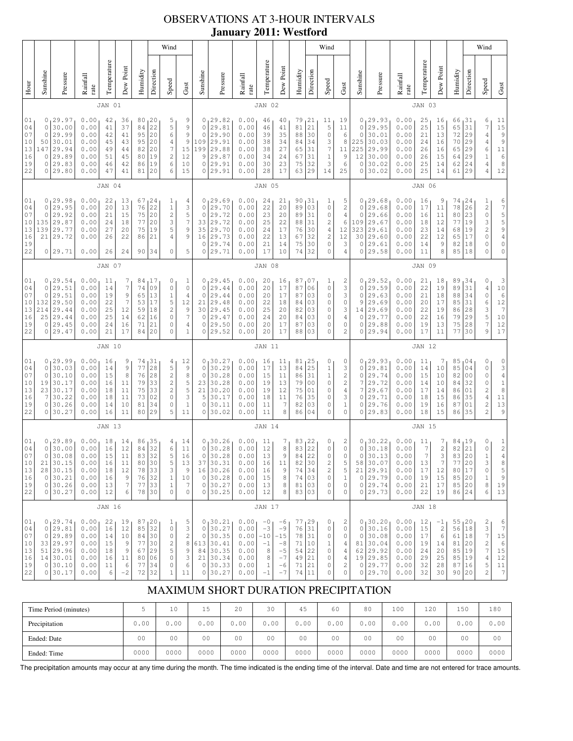# OBSERVATIONS AT 3-HOUR INTERVALS **January 2011: Westford**

|                                              |                                                                                                                                                                                                                                                                                                                                                                                                                                      |                                                                                   |                                                              |                                              |                                                |                                                  |                                                                       | Wind                                                                                           |                                                                                    |                                                                 |                                                                                   |                                                              |                                                      |                                                               | Wind                                                               |                                                                                |                                                                                 |                                                                                                        |                                                              |                                                                                        |                                                              |                                                           |                                                                             |                                                                  |                                                           | Wind                                                                          |                                                                                                                      |
|----------------------------------------------|--------------------------------------------------------------------------------------------------------------------------------------------------------------------------------------------------------------------------------------------------------------------------------------------------------------------------------------------------------------------------------------------------------------------------------------|-----------------------------------------------------------------------------------|--------------------------------------------------------------|----------------------------------------------|------------------------------------------------|--------------------------------------------------|-----------------------------------------------------------------------|------------------------------------------------------------------------------------------------|------------------------------------------------------------------------------------|-----------------------------------------------------------------|-----------------------------------------------------------------------------------|--------------------------------------------------------------|------------------------------------------------------|---------------------------------------------------------------|--------------------------------------------------------------------|--------------------------------------------------------------------------------|---------------------------------------------------------------------------------|--------------------------------------------------------------------------------------------------------|--------------------------------------------------------------|----------------------------------------------------------------------------------------|--------------------------------------------------------------|-----------------------------------------------------------|-----------------------------------------------------------------------------|------------------------------------------------------------------|-----------------------------------------------------------|-------------------------------------------------------------------------------|----------------------------------------------------------------------------------------------------------------------|
| Hour                                         | Sunshine                                                                                                                                                                                                                                                                                                                                                                                                                             | Pressure                                                                          | Rainfall<br>rate                                             | Temperature                                  | Dew Point                                      | Humidity                                         | Direction                                                             | Speed                                                                                          | Gust                                                                               | Sunshine                                                        | Pressure                                                                          | Rainfall<br>rate                                             | Temperature                                          | Dew Point                                                     | Humidity                                                           | Direction                                                                      | Speed                                                                           | Gust                                                                                                   | Sunshine                                                     | Pressure                                                                               | Rainfall<br>rate                                             | Temperature                                               | Dew Point                                                                   | Humidity                                                         | Direction                                                 | Speed                                                                         | Gust                                                                                                                 |
|                                              |                                                                                                                                                                                                                                                                                                                                                                                                                                      |                                                                                   |                                                              | JAN 01                                       |                                                |                                                  |                                                                       |                                                                                                |                                                                                    |                                                                 |                                                                                   |                                                              | JAN 02                                               |                                                               |                                                                    |                                                                                |                                                                                 |                                                                                                        |                                                              |                                                                                        |                                                              | JAN 03                                                    |                                                                             |                                                                  |                                                           |                                                                               |                                                                                                                      |
| 01<br>04<br>07<br>10<br>13<br>16<br>19<br>22 | 0<br>0<br>$\circ$<br>50<br>147<br>0<br>0<br>0                                                                                                                                                                                                                                                                                                                                                                                        | 29.97<br>30.00<br>29.99<br>30.01<br>29.94<br>29.89<br>29.83<br>29.80              | 0.00<br>0.00<br>0.00<br>0.00<br>0.00<br>0.00<br>0.00<br>0.00 | 42<br>41<br>42<br>45<br>49<br>51<br>46<br>47 | 36<br>37<br>41<br>43<br>44<br>45<br>42<br>41   | 80<br>84<br>95<br>95<br>82<br>80<br>86<br>81     | 20<br>22<br>20<br>20<br>20<br>19<br>19<br>20                          | 5<br>5<br>6<br>$\sqrt{4}$<br>7<br>$\mathbf{2}$<br>6<br>6                                       | 9<br>9<br>$\mathsf 9$<br>$\mathsf 9$<br>15<br>12<br>10<br>15                       | 0<br>$\circ$<br>$\Omega$<br>109<br>199<br>9<br>$\mathbb O$<br>0 | 29.82<br>29.81<br>29.90<br>29.91<br>29.88<br>29.87<br>29.91<br>29.91              | 0.00<br>0.00<br>0.00<br>0.00<br>0.00<br>0.00<br>0.00<br>0.00 | 46<br>46<br>39<br>38<br>38<br>34<br>30<br>28         | 40<br>41<br>35<br>34<br>27<br>24<br>23<br>17                  | 79<br>81<br>88<br>84<br>65<br>67<br>75<br>63                       | 21<br>21<br>30<br>34<br>31<br>31<br>32<br>29                                   | 11<br>5<br>$\mathbb O$<br>3<br>$\overline{7}$<br>$1\,$<br>3<br>14               | 19<br>11<br>6<br>8<br>11<br>$\overline{9}$<br>6<br>25                                                  | 0<br>0<br>0<br>225<br>225<br>12<br>$\circ$<br>0              | 29.93<br>29.95<br>30.01<br>30.03<br>29.99<br>30.00<br>30.02<br>30.02                   | 0.00<br>0.00<br>0.00<br>0.00<br>0.00<br>0.00<br>0.00<br>0.00 | 25<br>25<br>21<br>24<br>26<br>26<br>25<br>25              | 16<br>15<br>13<br>16<br>16<br>15<br>14<br>14                                | 66<br>65<br>72<br>70<br>65<br>64<br>62<br>61                     | 31<br>31<br>29<br>29<br>29<br>29<br>24<br>29              | 6<br>7<br>4<br>4<br>6<br>$\mathbf 1$<br>4<br>4                                | 11<br>$1\,5$<br>$\begin{array}{c} 9 \\ 9 \end{array}$<br>$\begin{array}{c} 11 \\ 6 \end{array}$<br>$\,$ 8 $\,$<br>12 |
|                                              |                                                                                                                                                                                                                                                                                                                                                                                                                                      |                                                                                   |                                                              | JAN 04                                       |                                                |                                                  |                                                                       |                                                                                                |                                                                                    |                                                                 |                                                                                   |                                                              | JAN 05                                               |                                                               |                                                                    |                                                                                |                                                                                 |                                                                                                        |                                                              |                                                                                        |                                                              | <b>JAN 06</b>                                             |                                                                             |                                                                  |                                                           |                                                                               |                                                                                                                      |
| 01<br>04<br>07<br>10<br>13<br>16<br>19<br>22 | 0, 29.98<br>0.00<br>24<br>22<br>67<br>13<br>1<br>22<br>$\mathbb O$<br>29.95<br>0.00<br>20<br>13<br>76<br>$\,1\,$<br>$\sqrt{2}$<br>0<br>29.92<br>0.00<br>75<br>20<br>21<br>15<br>$\ensuremath{\mathsf{3}}$<br>29.87<br>77<br>20<br>135<br>0.00<br>24<br>18<br>29.77<br>5<br>139<br>0.00<br>27<br>20<br>75<br>19<br>29.72<br>$\sqrt{4}$<br>21<br>0.00<br>26<br>22<br>21<br>86<br>29.71<br>0.00<br>26<br>24<br>90<br>34<br>$\circ$<br>0 |                                                                                   |                                                              |                                              |                                                |                                                  | 4<br>3<br>5<br>$\boldsymbol{7}$<br>9<br>9<br>5                        | 0<br>$\mathbf 0$<br>$\circ$<br>33<br>35<br>16<br>0<br>0                                        | 29.69<br>29.70<br>29.72<br>29.72<br>29.70<br>29.73<br>29.74<br>29.71               | 0.00<br>0.00<br>0.00<br>0.00<br>0.00<br>0.00<br>0.00<br>0.00    | 24<br>22<br>23<br>25<br>24<br>22<br>21<br>17                                      | 21<br>20<br>20<br>22<br>17<br>13<br>14<br>10                 | 90<br>89<br>89<br>88<br>76<br>67<br>75<br>74         | 131<br>03<br>31<br>31<br>30<br>32<br>30<br>32                 | T<br>$\mathbb O$<br>0<br>2<br>$\sqrt{4}$<br>$\mathbf{2}$<br>0<br>0 | 5<br>$\overline{\mathbf{c}}$<br>$\,4$<br>6<br>12<br>12<br>3<br>4               | 0<br>0<br>0<br>109<br>323<br>30<br>0<br>0                                       | 29.68<br>29.68<br>29.66<br>29.67<br>29.61<br>29.60<br>29.61<br>29.58                                   | 0.00<br>0.00<br>0.00<br>0.00<br>0.00<br>0.00<br>0.00<br>0.00 | 16<br>17<br>16<br>18<br>23<br>22<br>14<br>11                                           | 9<br>11<br>11<br>12<br>14<br>12<br>9<br>8                    | 74<br>78<br>80<br>77<br>68<br>65<br>82<br>85              | 24<br>26<br>23<br>19<br>19<br>17<br>18<br>18                                | 1<br>$\overline{\mathbf{c}}$<br>$\circ$<br>3<br>2<br>0<br>0<br>0 | 6<br>75594<br>$\mathbb O$<br>$\mathsf{O}\xspace$          |                                                                               |                                                                                                                      |
|                                              | JAN 07                                                                                                                                                                                                                                                                                                                                                                                                                               |                                                                                   |                                                              |                                              |                                                |                                                  |                                                                       |                                                                                                |                                                                                    |                                                                 | <b>JAN 08</b>                                                                     |                                                              |                                                      |                                                               |                                                                    |                                                                                |                                                                                 |                                                                                                        |                                                              | JAN 09                                                                                 |                                                              |                                                           |                                                                             |                                                                  |                                                           |                                                                               |                                                                                                                      |
| 01<br>04<br>07<br>10<br>13<br>16<br>19<br>22 | 0<br>0<br>132<br>214<br>25<br>0                                                                                                                                                                                                                                                                                                                                                                                                      | 0, 29.54<br>29.51<br>29.51<br>29.50<br>29.44<br>29.44<br>29.45<br>0 29.47         | 0.00<br>0.00<br>0.00<br>0.00<br>0.00<br>0.00<br>0.00<br>0.00 | 11<br>14<br>19<br>22<br>25<br>25<br>24<br>21 | 7<br>7<br>9<br>7<br>12<br>14<br>16<br>17       | 84, 17<br>74<br>65<br>53<br>59<br>62<br>71<br>84 | 09<br>13<br>17<br>18<br>16<br>21<br>20                                | 0<br>$\mathbb O$<br>$1\,$<br>5<br>$\overline{\mathbf{c}}$<br>$\mathbb O$<br>$\circ$<br>$\circ$ | 1<br>$\mathbb O$<br>$\sqrt{4}$<br>12<br>9<br>$\boldsymbol{7}$<br>4<br>$\mathbf{1}$ | 0<br>$\circ$<br>0<br>21<br>30<br>0<br>0<br>0                    | 29.45<br>29.44<br>29.44<br>29.48<br>29.45<br>29.47<br>29.50<br>29.52              | 0.00<br>0.00<br>0.00<br>0.00<br>0.00<br>0.00<br>0.00<br>0.00 | 20<br>20<br>20<br>22<br>25<br>24<br>20<br>20         | 16<br>17<br>17<br>18<br>20<br>20<br>17<br>17                  | 87,07<br>87<br>87<br>84<br>82<br>84<br>87<br>88                    | 06<br>03<br>03<br>03<br>03<br>03<br>03                                         | 1<br>$\mathbb O$<br>$\mathbb O$<br>0<br>0<br>0<br>0<br>0                        | 2<br>3<br>3<br>0<br>3<br>4<br>0<br>2                                                                   | 0<br>0<br>0<br>9<br>14<br>0<br>0<br>0                        | 29.52<br>29.59<br>29.63<br>29.69<br>29.69<br>29.77<br>29.88<br>29.94                   | 0.00<br>0.00<br>0.00<br>0.00<br>0.00<br>0.00<br>0.00<br>0.00 | 21<br>22<br>21<br>20<br>22<br>22<br>19<br>17              | 18<br>19<br>18<br>17<br>19<br>16<br>13<br>11                                | 89<br>89<br>88<br>85<br>86<br>79<br>75<br>77                     | 34<br>31<br>34<br>31<br>28<br>29<br>28<br>30              | 0<br>4<br>$\mathsf{O}\xspace$<br>6<br>3<br>5<br>$\overline{\mathcal{I}}$<br>9 | 3<br>$10$<br>$\begin{array}{c} 6 \\ 12 \end{array}$<br>$\boldsymbol{\tau}$<br>$10$<br>12<br>17                       |
|                                              |                                                                                                                                                                                                                                                                                                                                                                                                                                      |                                                                                   |                                                              | <b>JAN 10</b>                                |                                                |                                                  |                                                                       |                                                                                                |                                                                                    |                                                                 |                                                                                   |                                                              | <b>JAN 11</b>                                        |                                                               |                                                                    |                                                                                |                                                                                 |                                                                                                        |                                                              |                                                                                        |                                                              | <b>JAN 12</b>                                             |                                                                             |                                                                  |                                                           |                                                                               |                                                                                                                      |
| 01<br>04<br>07<br>10<br>13<br>16<br>19<br>22 | 0<br>0<br>19<br>23<br>7<br>0<br>0                                                                                                                                                                                                                                                                                                                                                                                                    | 0, 29.99<br>30.03<br>30.10<br>30.17<br>30.17<br>30.22<br>30.26<br>30.27           | 0.00<br>0.00<br>0.00<br>0.00<br>0.00<br>0.00<br>0.00<br>0.00 | 16<br>14<br>15<br>16<br>18<br>18<br>14<br>16 | 9<br>9<br>8<br>11<br>11<br>11<br>10<br>11      | 74<br>77<br>76<br>79<br>75<br>73<br>81<br>80     | 31<br>28<br>28<br>33<br>33<br>02<br>34<br>29                          | 4<br>5<br>$\overline{c}$<br>$\sqrt{2}$<br>$\sqrt{2}$<br>$\circ$<br>$\circ$<br>5                | 12<br>9<br>8<br>5<br>5<br>3<br>$\mathbf{1}$<br>11                                  | 0<br>$\circ$<br>$\circ$<br>23<br>21<br>5<br>0<br>0              | 30.27<br>30.29<br>30.28<br>30.28<br>30.20<br>30.17<br>30.11<br>30.02              | 0.00<br>0.00<br>0.00<br>0.00<br>0.00<br>0.00<br>0.00<br>0.00 | 16<br>17<br>15<br>19<br>19<br>18<br>11<br>11         | 11<br>13<br>11<br>13<br>12<br>11<br>7<br>8                    | 81, 25<br>84<br>86<br>79<br>75<br>76<br>82<br>86                   | 25<br>31<br>0 <sub>0</sub><br>01<br>35<br>03<br>04                             | 0<br>$1\,$<br>$\,1\,$<br>0<br>0<br>0<br>0<br>0                                  | 0<br>3<br>$\overline{c}$<br>$\overline{\mathbf{c}}$<br>4<br>3<br>$\mathbf 1$<br>0                      | 0<br>0<br>0<br>7<br>7<br>0<br>0<br>0                         | 29.93<br>29.81<br>29.74<br>29.72<br>29.67<br>29.71<br>29.76<br>29.83                   | 0.00<br>0.00<br>0.00<br>0.00<br>0.00<br>0.00<br>0.00<br>0.00 | 11<br>14<br>15<br>14<br>17<br>18<br>19<br>18              | 7<br>10<br>10<br>10<br>14<br>15<br>16<br>15                                 | 85<br>85<br>82<br>84<br>86<br>86<br>87<br>86                     | 04<br>04<br>0 <sub>0</sub><br>32<br>01<br>35<br>01<br>35  | 0<br>0<br>0<br>0<br>$\overline{\mathbf{c}}$<br>$\sqrt{4}$<br>2<br>2           | 0<br>$\frac{3}{4}$<br>$\,1\,$<br>8<br>$1\,1$<br>13<br>9                                                              |
|                                              | <b>JAN 13</b>                                                                                                                                                                                                                                                                                                                                                                                                                        |                                                                                   |                                                              |                                              |                                                |                                                  |                                                                       |                                                                                                |                                                                                    | <b>JAN 14</b>                                                   |                                                                                   |                                                              |                                                      |                                                               |                                                                    |                                                                                |                                                                                 |                                                                                                        | <b>JAN 15</b>                                                |                                                                                        |                                                              |                                                           |                                                                             |                                                                  |                                                           |                                                                               |                                                                                                                      |
| 01<br>04<br>07<br>10<br>13<br>16<br>19<br>22 | $\mathsf{O}\xspace$<br>21<br>$\circ$                                                                                                                                                                                                                                                                                                                                                                                                 | 0, 29.89<br>30.00<br>0 30.08 <br>30.15<br>28 30.15<br>30.21<br>0 30.26<br>0 30.27 | 0.00<br>0.00<br>0.00<br>0.00<br>0.00<br>0.00<br>0.00<br>0.00 | 18<br>16<br>15<br>16<br>18<br>16<br>13<br>12 | 14<br>12<br>11<br>11<br>12<br>9<br>$\tau$<br>6 | 86<br>84<br>83<br>80<br>78<br>76<br>77<br>78 30  | $\begin{array}{c} 35 \\ 32 \end{array}$<br>32<br>30<br>33<br>32<br>33 | $\begin{array}{c} 4 \\ 6 \end{array}$<br>5<br>5<br>3<br>$\,1\,$<br>$\,1\,$<br>$\mathbb O$      | 14<br>11<br>16<br>13<br>9<br>10<br>$\overline{7}$<br>0                             | 37<br>16<br>$\mathbb O$<br>$\circ$                              | $0 30.26$<br>$0 30.28$<br>0 30.28 <br>30.31<br>30.26<br>30.28<br>30.27<br>0 30.25 | 0.00<br>0.00<br>0.00<br>0.00<br>0.00<br>0.00<br>0.00<br>0.00 | 11<br>12<br>13<br>16<br>16<br>15<br>13<br>12         | 7<br>8<br>9<br>11<br>$\,9$<br>$\,8\,$<br>$\,8\,$<br>8         | 83<br>83<br>84<br>82<br>$7\,4$<br>74<br>81                         | $\begin{array}{c} 22 \\ 22 \end{array}$<br>22<br>30<br>34<br>03<br>03<br>83 03 | 0<br>$\mathbb O$<br>$\circ$<br>2<br>$\sqrt{2}$<br>$\mathsf{O}\xspace$<br>0<br>0 | $\overline{\mathbf{c}}$<br>$\mathsf{O}\xspace$<br>$\circ$<br>5<br>5<br>$\mathbf 1$<br>$\mathbf 0$<br>0 | 0<br>$\circ$<br>58                                           | $30.22$<br>$30.18$<br>0 30.13 <br>30.07<br>21 29.91<br>0 29.79<br>$0$ 29.74<br>0 29.73 | 0.00<br>0.00<br>0.00<br>0.00<br>0.00<br>0.00<br>0.00<br>0.00 | 11<br>$\boldsymbol{7}$<br>7<br>13<br>17<br>19<br>21<br>22 | 7<br>$\sqrt{2}$<br>3<br>$\overline{7}$<br>12<br>15<br>17<br>19              | 84<br>82<br>83<br>77<br>80   17<br>85<br>85 20<br>86 24          | $\begin{array}{c} 19 \\ 21 \end{array}$<br>20<br>20<br>20 | 0<br>0<br>$\mathbf{1}$<br>3<br>0<br>$\mathbf 1$<br>8<br>6                     | $\frac{1}{2}$<br>4<br>$\,$ 8 $\,$<br>5<br>$\,9$<br>19<br>13                                                          |
|                                              |                                                                                                                                                                                                                                                                                                                                                                                                                                      |                                                                                   |                                                              | JAN 16                                       |                                                |                                                  |                                                                       |                                                                                                |                                                                                    |                                                                 |                                                                                   |                                                              | <b>JAN 17</b>                                        |                                                               |                                                                    |                                                                                |                                                                                 |                                                                                                        |                                                              |                                                                                        |                                                              | <b>JAN 18</b>                                             |                                                                             |                                                                  |                                                           |                                                                               |                                                                                                                      |
| 01<br>04<br>07<br>10<br>13<br>16<br>19<br>22 | $\circ$<br>$\circ$<br>51 I                                                                                                                                                                                                                                                                                                                                                                                                           | 0, 29.74<br>29.81<br>29.89<br>33 29.97<br>29.96<br>14 30.01<br>0 30.10<br>0 30.17 | 0.00<br>0.00<br>0.00<br>0.00<br>0.00<br>0.00<br>0.00<br>0.00 | 22<br>16<br>14<br>15<br>18<br>16<br>11<br>6  | 19<br>12<br>$10$<br>9<br>9<br>11<br>6<br>$-2$  | 87,20<br>85<br>84<br>77<br>67<br>80<br>77<br>72  | 32<br>30<br>30<br>29<br>06<br>34<br>32                                | 1<br>$\mathbb O$<br>$\mathbb O$<br>$\sqrt{2}$<br>5<br>$\mathbb O$<br>$\circ$<br>1              | 5<br>3<br>$\overline{c}$<br>8<br>9<br>3<br>6<br>11                                 | 0<br>$\circ$<br>84 <br>21<br>$\circ$                            | 0, 30.21<br>30.27<br>30.35<br>613 30.41<br>30.35<br>30.34<br>0 30.33<br>30.27     | 0.00<br>0.00<br>0.00<br>0.00<br>0.00<br>0.00<br>0.00<br>0.00 | $-0$<br>$-3$<br>$-10$<br>$-1$<br>8<br>8<br>1<br>$-1$ | $-6$<br>$-9$<br>$-15$<br>$-8$<br>$-5$<br>$-7$<br>$-6$<br>$-7$ | 77, 29<br>76<br>$7\,8$<br>71<br>54<br>49<br>71<br>74               | 31<br>31<br>10<br>22<br>21<br>21<br>11                                         | 0<br>$\mathbb O$<br>$\mathbb O$<br>$1\,$<br>0<br>0<br>0<br>$\mathbf 0$          | 2<br>0<br>0<br>4<br>4<br>4<br>2<br>0                                                                   | 0<br>$\circ$                                                 | 0, 30.20<br>30.16<br>30.08<br>81 30.04<br>62 29.92<br>19 29.85<br>0 29.77<br>0 29.70   | 0.00<br>0.00<br>0.00<br>0.00<br>0.00<br>0.00<br>0.00<br>0.00 | 12<br>15<br>17<br>19<br>24<br>29<br>32<br>32              | $-1$<br>$\overline{\mathbf{c}}$<br>$\epsilon$<br>14<br>20<br>25<br>28<br>30 | 55, 20<br>56<br>61<br>81 20<br>85<br>85 19<br>87 16<br>90 20     | 18<br>18<br> 19                                           | 2<br>3<br>$\gamma$<br>$\mathbf 2$<br>7<br>4<br>5<br>$\overline{c}$            | 6<br>$\overline{7}$<br>15<br>$\epsilon$<br>15<br>12<br>$1\,1$<br>$\boldsymbol{7}$                                    |

### MAXIMUM SHORT DURATION PRECIPITATION

| Time Period (minutes) |                | 10 <sup>°</sup> | Б              | 20             | 30             | 45             | 60             | 80             | 100            | 120            | 150            | 180            |
|-----------------------|----------------|-----------------|----------------|----------------|----------------|----------------|----------------|----------------|----------------|----------------|----------------|----------------|
| Precipitation         | 0.00           | 0.00            | 0.00           | 0.00           | 0.00           | 0.00           | 0.00           | 0.00           | 0.00           | 0.00           | 0.00           | 0.00           |
| Ended: Date           | 0 <sub>0</sub> | 0 <sub>0</sub>  | 0 <sub>0</sub> | 0 <sub>0</sub> | 0 <sub>0</sub> | 0 <sub>0</sub> | 0 <sup>0</sup> | 0 <sub>0</sub> | 0 <sub>0</sub> | 0 <sub>0</sub> | 0 <sub>0</sub> | 0 <sup>0</sup> |
| Ended: Time           | 0000           | 0000            | 0000           | 0000           | 0000           | 0000           | 0000           | 0000           | 0000           | 0000           | 0000           | 0000           |

The precipitation amounts may occur at any time during the month. The time indicated is the ending time of the interval. Date and time are not entered for trace amounts.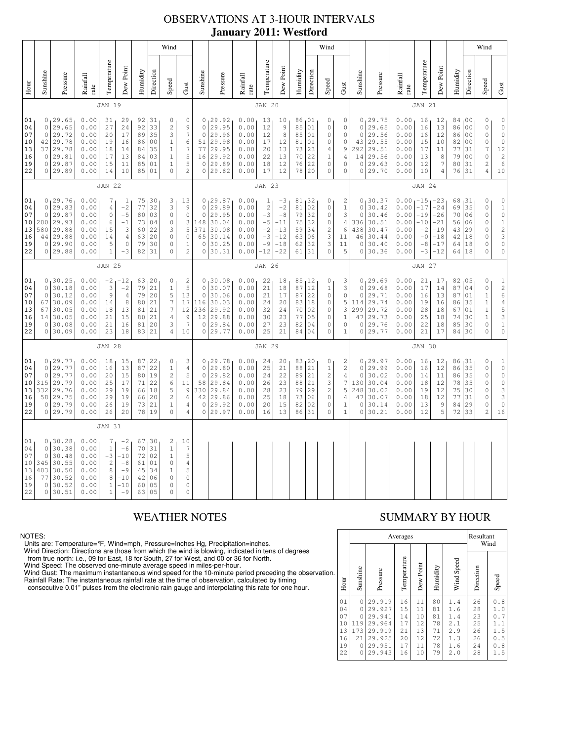## OBSERVATIONS AT 3-HOUR INTERVALS **January 2011: Westford**

|                                              |                                                                                                                                                                                                                                                                                                                                                                                                                                                                                                                                                                                                          |                                                                           |                                                              |  |                                                                                   |                                                                         |                                              |                                                                              | Wind                                                                                                |                                                                                           |                                                            |                                                                                   |                                                              |                                                                                                           |                                                                                                                             |                                                             |                                                                         | Wind                                                                                      |                                                                                                 |                                                                  |                                                                         |                                                                                        |                                                                                                             |                                                                                                                      |                                              |                                                 | Wind                                                                                                                 |                                                                                                           |
|----------------------------------------------|----------------------------------------------------------------------------------------------------------------------------------------------------------------------------------------------------------------------------------------------------------------------------------------------------------------------------------------------------------------------------------------------------------------------------------------------------------------------------------------------------------------------------------------------------------------------------------------------------------|---------------------------------------------------------------------------|--------------------------------------------------------------|--|-----------------------------------------------------------------------------------|-------------------------------------------------------------------------|----------------------------------------------|------------------------------------------------------------------------------|-----------------------------------------------------------------------------------------------------|-------------------------------------------------------------------------------------------|------------------------------------------------------------|-----------------------------------------------------------------------------------|--------------------------------------------------------------|-----------------------------------------------------------------------------------------------------------|-----------------------------------------------------------------------------------------------------------------------------|-------------------------------------------------------------|-------------------------------------------------------------------------|-------------------------------------------------------------------------------------------|-------------------------------------------------------------------------------------------------|------------------------------------------------------------------|-------------------------------------------------------------------------|----------------------------------------------------------------------------------------|-------------------------------------------------------------------------------------------------------------|----------------------------------------------------------------------------------------------------------------------|----------------------------------------------|-------------------------------------------------|----------------------------------------------------------------------------------------------------------------------|-----------------------------------------------------------------------------------------------------------|
| Hour                                         | Sunshine                                                                                                                                                                                                                                                                                                                                                                                                                                                                                                                                                                                                 | Pressure                                                                  | Rainfall<br>rate                                             |  | Temperature                                                                       | Dew Point                                                               | Humidity                                     | Direction                                                                    | Speed                                                                                               | Gust                                                                                      | Sunshine                                                   | Pressure                                                                          | Rainfall<br>rate                                             | Temperature                                                                                               | Dew Point                                                                                                                   | Humidity                                                    | Direction                                                               | Speed                                                                                     | Gust                                                                                            | Sunshine                                                         | Pressure                                                                | Rainfall<br>rate                                                                       | Temperature                                                                                                 | Dew Point                                                                                                            | Humidity                                     | Direction                                       | Speed                                                                                                                | Gust                                                                                                      |
|                                              |                                                                                                                                                                                                                                                                                                                                                                                                                                                                                                                                                                                                          |                                                                           |                                                              |  | <b>JAN 19</b>                                                                     |                                                                         |                                              |                                                                              |                                                                                                     |                                                                                           |                                                            |                                                                                   |                                                              | <b>JAN 20</b>                                                                                             |                                                                                                                             |                                                             |                                                                         |                                                                                           |                                                                                                 |                                                                  |                                                                         |                                                                                        | <b>JAN 21</b>                                                                                               |                                                                                                                      |                                              |                                                 |                                                                                                                      |                                                                                                           |
| 01<br>04<br>07<br>10<br>13<br>16<br>19<br>22 | 0, 29.65<br>0.00<br>$\mathbb O$<br>31<br>29<br>92,31<br>0<br>27<br>92<br>33<br>$\circ$<br>29.65<br>0.00<br>24<br>$\sqrt{2}$<br>9<br>$\gamma$<br>17<br>$\ensuremath{\mathsf{3}}$<br>$\circ$<br>29.72<br>0.00<br>20<br>89<br>35<br>29.78<br>0.00<br>$\mathbf{1}$<br>6<br>42<br>19<br>16<br>86<br>0 <sub>0</sub><br>35<br>$\boldsymbol{7}$<br>29.78<br>0.00<br>18<br>$\,1\,$<br>37<br>14<br>84<br>5<br>29.81<br>0.00<br>13<br>03<br>$1\,$<br>$\circ$<br>17<br>84<br>29.87<br>5<br>0<br>0.00<br>15<br>11<br>85<br>01<br>$\mathbf{1}$<br>10<br>01<br>$\circ$<br>$\overline{c}$<br>0 29.89<br>0.00<br>14<br>85 |                                                                           |                                                              |  |                                                                                   |                                                                         | $\circ$<br>$\circ$<br>51<br>77<br>0          | 0, 29.92<br>29.95<br>29.96<br>29.98<br>29.95<br>16 29.92<br>29.89<br>0 29.82 | 0.00<br>0.00<br>0.00<br>0.00<br>0.00<br>0.00<br>0.00<br>0.00                                        | 13<br>12<br>12<br>17<br>20<br>22<br>18<br>17                                              | 10<br>$\mathsf 9$<br>8<br>12<br>13<br>13<br>12<br>12       | 86,01<br>85<br>85<br>81<br>73<br>70<br>76<br>78                                   | 01<br>01<br>01<br>23<br>22<br>22<br>20                       | 0<br>$\mathsf{O}\xspace$<br>$\mathbf 0$<br>$\circ$<br>$\overline{4}$<br>$\,1\,$<br>$\circ$<br>$\mathbb O$ | 0<br>$\mathsf{O}\xspace$<br>$\mathsf{O}\xspace$<br>$\mathsf{O}\xspace$<br>9<br>$\overline{4}$<br>$\mathbb O$<br>$\mathbb O$ | $\circ$<br>$\circ$<br>43<br>292<br>14<br>$\circ$<br>$\circ$ | 0, 29.75<br>29.65<br>29.56<br>29.55<br>29.51<br>29.56<br>29.63<br>29.70 | 0.00<br>0.00<br>0.00<br>$0\,$ . $0\,0$<br>0.00<br>0.00<br>0.00<br>0.00                    | 16<br>16<br>16<br>15<br>17<br>13<br>12<br>10                                                    | 12<br>13<br>12<br>10<br>11<br>8<br>7<br>4                        | 84,00<br>86<br>86<br>82<br>77<br>79<br>80<br>76                         | 0 <sub>0</sub><br>0 <sub>0</sub><br>0 <sub>0</sub><br>31<br>0 <sub>0</sub><br>31<br>31 | 0<br>$\mathbb O$<br>$\mathbb O$<br>$\circ$<br>$\overline{7}$<br>$\mathbb O$<br>$\overline{c}$<br>$\sqrt{4}$ | $\mathsf{O}\xspace$<br>$\mathbb O$<br>$\rm _0$<br>$\mathbb O$<br>$\begin{array}{c} 12 \\ 2 \\ 6 \end{array}$<br>$10$ |                                              |                                                 |                                                                                                                      |                                                                                                           |
|                                              | <b>JAN 22</b>                                                                                                                                                                                                                                                                                                                                                                                                                                                                                                                                                                                            |                                                                           |                                                              |  |                                                                                   |                                                                         |                                              |                                                                              |                                                                                                     | <b>JAN 23</b>                                                                             |                                                            |                                                                                   |                                                              |                                                                                                           |                                                                                                                             |                                                             |                                                                         |                                                                                           | <b>JAN 24</b>                                                                                   |                                                                  |                                                                         |                                                                                        |                                                                                                             |                                                                                                                      |                                              |                                                 |                                                                                                                      |                                                                                                           |
| 01<br>04<br>07<br>10<br>13<br>16<br>19<br>22 | $\overline{0}$<br>$\mathbf 0$<br>200<br>580<br>44<br>$\circ$                                                                                                                                                                                                                                                                                                                                                                                                                                                                                                                                             | 0, 29.76<br>29.83<br>29.87<br>29.93<br>29.88<br>29.88<br>29.90<br>0 29.88 | 0.00<br>0.00<br>0.00<br>0.00<br>0.00<br>0.00<br>0.00<br>0.00 |  | 7<br>4<br>$\mathsf{O}\xspace$<br>6<br>15<br>14<br>5<br>$\mathbf 1$                | 1<br>$-2$<br>$-5$<br>$-1$<br>3<br>$\overline{4}$<br>$\mathbb O$<br>$-3$ | 77<br>80<br>73<br>60<br>63<br>79<br>82       | 75,30<br>32<br>03<br>04<br>22<br>20<br>30<br>31                              | $\ensuremath{\mathsf{3}}$<br>3<br>0<br>$\mathbb O$<br>3<br>$\mathbb O$<br>$\circ$<br>$\circ$        | 13<br>$\mathsf 9$<br>$\mathbb O$<br>3<br>5<br>$\mathbb O$<br>$\mathbf{1}$<br>$\mathbf{2}$ | $\mathbf{0}$<br>$\circ$<br>148<br>371<br>65<br>$\mathbb O$ | 0, 29.87<br>29.89<br>29.95<br>30.04<br>30.08<br>30.14<br>30.25<br>0 30.31         | 0.00<br>0.00<br>0.00<br>0.00<br>0.00<br>0.00<br>0.00<br>0.00 | 1<br>$\overline{c}$<br>$-3$<br>$-5$<br>$-2$<br>$-3$<br>$-9$<br>$-12$                                      | $-3$<br>$-2$<br>$-8$<br>-11<br>$-13$<br>$-12$<br>$-18$<br>$-22$                                                             | 81<br>81<br>79<br>75<br>59<br>63<br>62<br>61                | 132<br>02<br>32<br>32<br>34<br>06<br>32<br>31                           | 0<br>$\mathbb O$<br>$\mathsf{O}\xspace$<br>$\circ$<br>$\sqrt{2}$<br>3<br>3<br>$\mathbf 0$ | 2<br>$\,1$<br>3<br>$\overline{4}$<br>6<br>11<br>11<br>5                                         | $\circ$<br>$\circ$<br>336<br>438<br>46<br>$\circ$<br>$\circ$     | 0, 30.37<br>30.42<br>30.46<br>30.51<br>30.47<br>30.44<br>30.40<br>30.36 | $0.00 - 15$<br>0.00<br>0.00<br>0.00<br>0.00<br>0.00<br>0.00<br>0.00                    | $-17$<br>$-19$<br>$-10$<br>$-2$<br>$-0$<br>$-8$<br>$-3$                                                     | $1 - 23$<br>$-24$<br>$-26$<br>$-21$<br>$-19$<br>$-18$<br>$-17$<br>$-12$                                              | 68<br>69<br>70<br>56<br>43<br>42<br>64<br>64 | , 31<br>35<br>06<br>06<br>29<br>18<br>18<br> 18 | $\mathbb O$<br>$\circ$<br>$\circ$<br>$\mathbb O$<br>$\circ$<br>$\mathbf 0$<br>$\mathbf 0$<br>$\mathbf 0$             | $\mathbb O$<br>$\begin{array}{c} 1 \\ 0 \\ 1 \\ 2 \end{array}$<br>3<br>$\mathbb O$<br>$\mathsf{O}\xspace$ |
|                                              | <b>JAN 25</b>                                                                                                                                                                                                                                                                                                                                                                                                                                                                                                                                                                                            |                                                                           |                                                              |  |                                                                                   |                                                                         |                                              |                                                                              | <b>JAN 27</b><br><b>JAN 26</b>                                                                      |                                                                                           |                                                            |                                                                                   |                                                              |                                                                                                           |                                                                                                                             |                                                             |                                                                         |                                                                                           |                                                                                                 |                                                                  |                                                                         |                                                                                        |                                                                                                             |                                                                                                                      |                                              |                                                 |                                                                                                                      |                                                                                                           |
| 01<br>04<br>07<br>10<br>13<br>16<br>19<br>22 | $\mathsf{O}\xspace$<br>$\circ$<br>67<br>67<br>14<br>$\circ$<br>$\circ$                                                                                                                                                                                                                                                                                                                                                                                                                                                                                                                                   | 0, 30.25<br>30.18<br>30.12<br>30.09<br>30.05<br>30.05<br>30.08<br>30.09   | 0.00<br>0.00<br>0.00<br>0.00<br>0.00<br>0.00<br>0.00<br>0.00 |  | $-2$<br>3<br>9<br>14<br>18<br>21<br>21<br>23                                      | $-12$<br>$-2$<br>$\overline{4}$<br>8<br>13<br>15<br>16<br>18            | 79<br>79<br>80<br>81<br>80<br>81<br>83       | 63,20<br>21<br>20<br>21<br>21<br>21<br>20<br>21                              | $\mathbb O$<br>$\mathbf{1}$<br>5<br>$7\phantom{.0}$<br>$\boldsymbol{7}$<br>$\overline{4}$<br>3<br>4 | $\sqrt{2}$<br>5<br>13<br>$17\,$<br>12<br>9<br>7<br>10                                     | $\mathbb O$<br>$\circ$<br>$12 \overline{ }$<br>$\circ$     | 0, 30.08<br>30.07<br>30.06<br>116 30.03<br>236 29.92<br>29.88<br>29.84<br>0 29.77 | 0.00<br>0.00<br>0.00<br>0.00<br>0.00<br>0.00<br>0.00<br>0.00 | 22<br>21<br>21<br>24<br>32<br>30<br>27<br>25                                                              | 18<br>18<br>17<br>20<br>24<br>23<br>23<br>21                                                                                | 85, 12<br>87<br>87<br>83<br>70<br>77<br>82<br>84            | 12<br>22<br> 18<br>02<br>05<br>04<br>04                                 | 0<br>$\,1\,$<br>$\mathbb O$<br>$\circ$<br>$\circ$<br>$\circ$<br>$\circ$<br>$\circ$        | 3<br>3<br>$\mathbb O$<br>5<br>3<br>$\mathbf{1}$<br>0<br>$\mathbf{1}$                            | $\mathbb O$<br>$\circ$<br>114<br>299<br>47<br>$\circ$<br>$\circ$ | 0, 29.69<br>29.68<br>29.71<br>29.74<br>29.72<br>29.73<br>29.76<br>29.77 | 0.00<br>0.00<br>0.00<br>0.00<br>0.00<br>0.00<br>0.00<br>0.00                           | 21<br>17<br>16<br>19<br>28<br>25<br>22<br>21                                                                | 17<br>14<br>13<br>16<br>18<br>18<br>18<br>17                                                                         | 82<br>87<br>87<br>86<br>67<br>74<br>85<br>84 | 05<br>04<br>01<br>35<br>01<br>30<br>30<br>30    | $\mathbb O$<br>$\mathbb O$<br>$\mathbf 1$<br>$\mathbf 1$<br>$\mathbf 1$<br>$\mathbf 1$<br>$\mathbf 0$<br>$\mathbf 0$ | $\,1$<br>264531<br>$\mathbf 0$                                                                            |
|                                              |                                                                                                                                                                                                                                                                                                                                                                                                                                                                                                                                                                                                          |                                                                           |                                                              |  | <b>JAN 28</b>                                                                     |                                                                         |                                              |                                                                              |                                                                                                     |                                                                                           |                                                            |                                                                                   |                                                              | <b>JAN 29</b>                                                                                             |                                                                                                                             |                                                             |                                                                         |                                                                                           |                                                                                                 |                                                                  |                                                                         |                                                                                        | <b>JAN 30</b>                                                                                               |                                                                                                                      |                                              |                                                 |                                                                                                                      |                                                                                                           |
| 01<br>04<br>07<br>10<br>13<br>16<br>19<br>22 | $\mathbb O$<br>$\mathsf{O}\xspace$<br>315<br>332<br>58<br>$\circ$                                                                                                                                                                                                                                                                                                                                                                                                                                                                                                                                        | 0, 29.77<br>29.77<br>29.77<br>29.79<br>29.76<br>29.75<br>29.79<br>0 29.79 | 0.00<br>0.00<br>0.00<br>0.00<br>0.00<br>0.00<br>0.00<br>0.00 |  | 18<br>16<br>20<br>25<br>29<br>29<br>26<br>26                                      | 15<br>13<br>15<br>17<br>19<br>19<br>19<br>20                            | 87<br>87<br>80<br>71<br>66<br>66<br>73<br>78 | 1 <sup>22</sup><br>22<br>19<br>22<br>18<br>20<br>21<br>19                    | 0<br>$\,1\,$<br>$\sqrt{2}$<br>$\epsilon$<br>5<br>$\sqrt{2}$<br>$\mathbf{1}$<br>0                    | 3<br>$\overline{4}$<br>5<br>11<br>$\mathsf 9$<br>6<br>4<br>4                              | $\mathbb O$<br>$\mathbb O$<br>58<br>42<br>$\mathbf{0}$     | 0, 29.78<br>29.80<br>29.82<br>29.84<br>330 29.84<br>29.86<br>29.92<br>0 29.97     | 0.00<br>0.00<br>0.00<br>0.00<br>0.00<br>0.00<br>0.00<br>0.00 | 24<br>25<br>24<br>26<br>28<br>25<br>20<br>16                                                              | 20<br>21<br>22<br>23<br>23<br>18<br>15<br>13                                                                                | 83, 20<br>$8\,8$<br>89<br>88<br>79<br>73<br>82<br>86        | 21<br>21<br>21<br>29<br>06<br>02<br>31                                  | 0<br>$\,1\,$<br>$\sqrt{2}$<br>3<br>$\sqrt{2}$<br>$\circ$<br>$\circ$<br>$\circ$            | 2<br>$\sqrt{2}$<br>$\overline{4}$<br>$\boldsymbol{7}$<br>5<br>4<br>$\mathbf{1}$<br>$\mathbf{1}$ | $\circ$<br>$\mathbb O$<br>130<br>248<br>47<br>$\circ$<br>$\circ$ | 0, 29.97<br>29.99<br>30.02<br>30.04<br>30.02<br>30.07<br>30.14<br>30.21 | 0.00<br>0.00<br>0.00<br>0.00<br>0.00<br>0.00<br>0.00<br>0.00                           | 16<br>16<br>14<br>18<br>19<br>18<br>13<br>12                                                                | 12<br>12<br>11<br>12<br>12<br>12<br>9<br>5                                                                           | 86<br>86<br>86<br>78<br>75<br>77<br>84<br>72 | 31<br>35<br>35<br>35<br>30<br>31<br>29<br>33    | $\mathbb O$<br>$\mathbb O$<br>$\mathbb O$<br>$\mathbb O$<br>$\mathbb O$<br>$\circ$<br>$\mathbb O$<br>$\overline{c}$  | $\begin{smallmatrix}1\\0\end{smallmatrix}$<br>16                                                          |
|                                              |                                                                                                                                                                                                                                                                                                                                                                                                                                                                                                                                                                                                          |                                                                           |                                                              |  | <b>JAN 31</b>                                                                     |                                                                         |                                              |                                                                              |                                                                                                     |                                                                                           |                                                            |                                                                                   |                                                              |                                                                                                           |                                                                                                                             |                                                             |                                                                         |                                                                                           |                                                                                                 |                                                                  |                                                                         |                                                                                        |                                                                                                             |                                                                                                                      |                                              |                                                 |                                                                                                                      |                                                                                                           |
| 01<br>04<br>07<br>10<br>13<br>16<br>19<br>22 | $\circ$<br>$\mathbb O$<br>345<br>403<br>77<br>0<br>$\circ$                                                                                                                                                                                                                                                                                                                                                                                                                                                                                                                                               | 0, 30.28<br>30.38<br>30.48<br>30.55<br>30.50<br>30.52<br>30.52<br>30.51   | 0.00<br>0.00<br>0.00<br>0.00<br>0.00<br>0.00<br>0.00<br>0.00 |  | 7<br>$\,1\,$<br>$-3$<br>$\sqrt{2}$<br>$\,8\,$<br>8<br>$\mathbf{1}$<br>$\mathbf 1$ | $-2$<br>$-6$<br>$-10$<br>$-8$<br>$-9$<br>$-10$<br>$-10$<br>$-9$         | 70<br>72<br>61<br>45<br>42<br>60<br>63       | 67 30<br>31<br>02<br>01<br>34<br>06<br>05<br>05                              | 2<br>$\,1\,$<br>$1\,$<br>$\circ$<br>$\mathbf{1}$<br>$\mathbb O$<br>$\mathbb O$<br>$\circ$           | 10<br>7<br>5<br>4<br>5<br>$\mathbb O$<br>$\mathbb O$<br>$\overline{0}$                    |                                                            |                                                                                   |                                                              |                                                                                                           |                                                                                                                             |                                                             |                                                                         |                                                                                           |                                                                                                 |                                                                  |                                                                         |                                                                                        |                                                                                                             |                                                                                                                      |                                              |                                                 |                                                                                                                      |                                                                                                           |

### NOTES:

Units are: Temperature=°F, Wind=mph, Pressure=Inches Hg, Precipitation=inches.

Wind Direction: Directions are those from which the wind is blowing, indicated in tens of degrees<br>from true north: i.e., 09 for East, 18 for South, 27 for West, and 00 or 36 for North.<br>Wind Speed: The observed one-minute a

Wind Gust: The maximum instantaneous wind speed for the 10-minute period preceding the observation Rainfall Rate: The instantaneous rainfall rate at the time of observation, calculated by timing

consecutive 0.01" pulses from the electronic rain gauge and interpolating this rate for one hour.

# WEATHER NOTES SUMMARY BY HOUR

|    |                                              |                                                           | Averages                                                                     | Resultant<br>Wind                            |                                                  |                                              |                                                      |                                              |                                                      |
|----|----------------------------------------------|-----------------------------------------------------------|------------------------------------------------------------------------------|----------------------------------------------|--------------------------------------------------|----------------------------------------------|------------------------------------------------------|----------------------------------------------|------------------------------------------------------|
| ì. | Hour                                         | Sunshine                                                  | Pressure                                                                     | Temperature                                  | Dew Point                                        | Humidity                                     | Wind Speed                                           | Direction                                    | Speed                                                |
|    | 01<br>04<br>07<br>10<br>13<br>16<br>19<br>22 | $\circ$<br>0<br>0<br>119<br>173<br>21<br>$\mathbf 0$<br>0 | 29.919<br>29.927<br>29.941<br>29.964<br>29.919<br>29.925<br>29.951<br>29.943 | 16<br>15<br>14<br>17<br>21<br>20<br>17<br>16 | 11<br>11<br>10<br>12<br>13<br>12<br>$1\,1$<br>10 | 80<br>81<br>81<br>78<br>71<br>72<br>78<br>79 | 1.4<br>1.6<br>1.4<br>2.1<br>2.9<br>1.3<br>1.6<br>2.0 | 26<br>28<br>23<br>25<br>26<br>26<br>24<br>28 | 0.8<br>1.0<br>0.7<br>1.1<br>1.5<br>0.5<br>0.8<br>1.5 |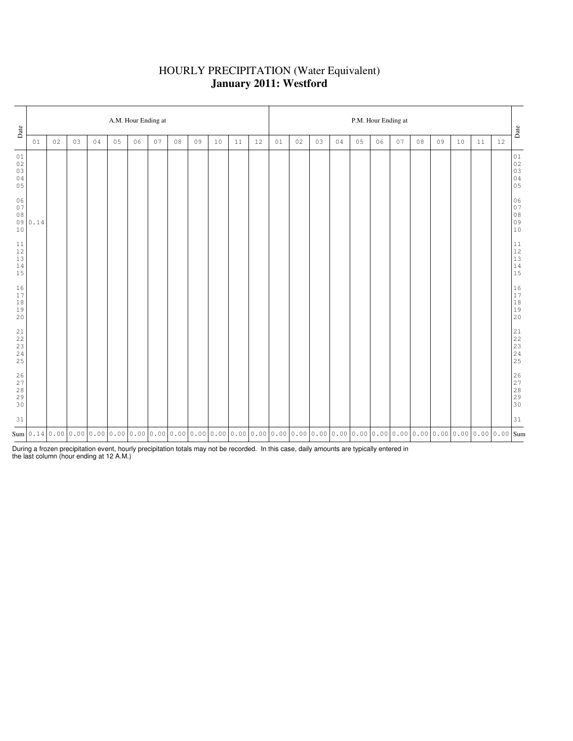### HOURLY PRECIPITATION (Water Equivalent) **January 2011: Westford**

| Date                                |        | A.M. Hour Ending at |    |    |    |    |    |    |                                                                                                                                                                                                                              |    |    |    |    |    |    | P.M. Hour Ending at |    |    |    |    |    |    |    |    |                                                           |  |  |  |
|-------------------------------------|--------|---------------------|----|----|----|----|----|----|------------------------------------------------------------------------------------------------------------------------------------------------------------------------------------------------------------------------------|----|----|----|----|----|----|---------------------|----|----|----|----|----|----|----|----|-----------------------------------------------------------|--|--|--|
|                                     | 01     | 02                  | 03 | 04 | 05 | 06 | 07 | 08 | 09                                                                                                                                                                                                                           | 10 | 11 | 12 | 01 | 02 | 03 | 04                  | 05 | 06 | 07 | 08 | 09 | 10 | 11 | 12 | $_{\mbox{\textbf{Date}}}$                                 |  |  |  |
| 01<br>02<br>03<br>04<br>05          |        |                     |    |    |    |    |    |    |                                                                                                                                                                                                                              |    |    |    |    |    |    |                     |    |    |    |    |    |    |    |    | $0\,1$<br>$02$<br>02<br>03<br>04<br>05                    |  |  |  |
| 06<br>$0\,7$<br>$0\,8$<br>10        | 090.14 |                     |    |    |    |    |    |    |                                                                                                                                                                                                                              |    |    |    |    |    |    |                     |    |    |    |    |    |    |    |    | 06<br>$0.7\,$<br>$08$<br>$09$<br>$10$                     |  |  |  |
| 11<br>$12$<br>13<br>$1\,4$<br>15    |        |                     |    |    |    |    |    |    |                                                                                                                                                                                                                              |    |    |    |    |    |    |                     |    |    |    |    |    |    |    |    | $\begin{array}{c} 11 \\ 12 \\ 13 \\ 14 \\ 15 \end{array}$ |  |  |  |
| 16<br>17<br>$1\,8$<br>19<br>20      |        |                     |    |    |    |    |    |    |                                                                                                                                                                                                                              |    |    |    |    |    |    |                     |    |    |    |    |    |    |    |    | $\begin{array}{c} 16 \\ 17 \\ 18 \\ 19 \\ 20 \end{array}$ |  |  |  |
| $2\sqrt{1}$<br>22<br>23<br>24<br>25 |        |                     |    |    |    |    |    |    |                                                                                                                                                                                                                              |    |    |    |    |    |    |                     |    |    |    |    |    |    |    |    | $21$<br>$22$<br>$23$<br>$24$<br>$25$                      |  |  |  |
| 26<br>27<br>$2\,8$<br>29<br>30      |        |                     |    |    |    |    |    |    |                                                                                                                                                                                                                              |    |    |    |    |    |    |                     |    |    |    |    |    |    |    |    | 26<br>27<br>28<br>29<br>29<br>30                          |  |  |  |
| 31                                  |        |                     |    |    |    |    |    |    |                                                                                                                                                                                                                              |    |    |    |    |    |    |                     |    |    |    |    |    |    |    |    | 31                                                        |  |  |  |
|                                     |        |                     |    |    |    |    |    |    | Sum   0.14   0.00   0.00   0.00   0.00   0.00   0.00   0.00   0.00   0.00   0.00   0.00   0.00   0.00   0.00   0.00   0.00   0.00   0.00   0.00   0.00   0.00   0.00   0.00   0.00   0.00   0.00   0.00   0.00   0.00   0.00 |    |    |    |    |    |    |                     |    |    |    |    |    |    |    |    |                                                           |  |  |  |

During a frozen precipitation event, hourly precipitation totals may not be recorded. In this case, daily amounts are typically entered in the last column (hour ending at 12 A.M.)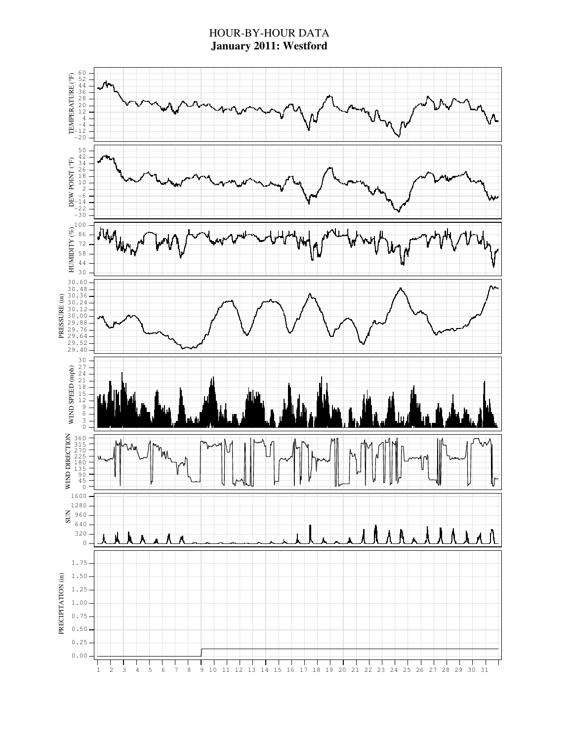### HOUR-BY-HOUR DATA **January 2011: Westford**